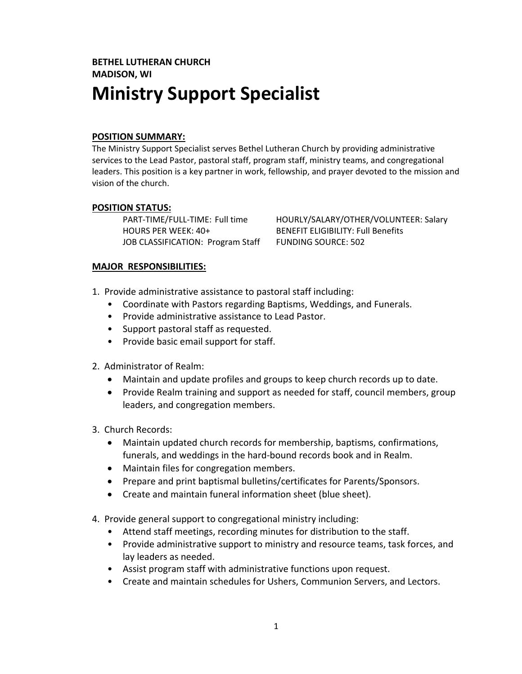# **BETHEL LUTHERAN CHURCH MADISON, WI Ministry Support Specialist**

#### **POSITION SUMMARY:**

The Ministry Support Specialist serves Bethel Lutheran Church by providing administrative services to the Lead Pastor, pastoral staff, program staff, ministry teams, and congregational leaders. This position is a key partner in work, fellowship, and prayer devoted to the mission and vision of the church.

#### **POSITION STATUS:**

HOURS PER WEEK: 40+ BENEFIT ELIGIBILITY: Full Benefits JOB CLASSIFICATION: Program Staff FUNDING SOURCE: 502

PART-TIME/FULL-TIME: Full time HOURLY/SALARY/OTHER/VOLUNTEER: Salary

#### **MAJOR RESPONSIBILITIES:**

- 1. Provide administrative assistance to pastoral staff including:
	- Coordinate with Pastors regarding Baptisms, Weddings, and Funerals.
	- Provide administrative assistance to Lead Pastor.
	- Support pastoral staff as requested.
	- Provide basic email support for staff.
- 2. Administrator of Realm:
	- Maintain and update profiles and groups to keep church records up to date.
	- Provide Realm training and support as needed for staff, council members, group leaders, and congregation members.
- 3. Church Records:
	- Maintain updated church records for membership, baptisms, confirmations, funerals, and weddings in the hard-bound records book and in Realm.
	- Maintain files for congregation members.
	- Prepare and print baptismal bulletins/certificates for Parents/Sponsors.
	- Create and maintain funeral information sheet (blue sheet).
- 4. Provide general support to congregational ministry including:
	- Attend staff meetings, recording minutes for distribution to the staff.
	- Provide administrative support to ministry and resource teams, task forces, and lay leaders as needed.
	- Assist program staff with administrative functions upon request.
	- Create and maintain schedules for Ushers, Communion Servers, and Lectors.